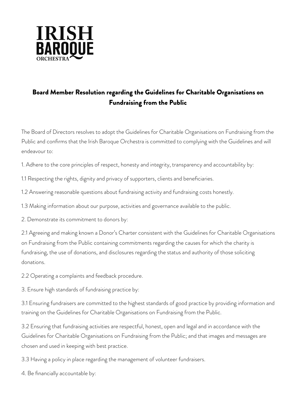

## Board Member Resolution regarding the Guidelines for Charitable Organisations on Fundraising from the Public

The Board of Directors resolves to adopt the Guidelines for Charitable Organisations on Fundraising from the Public and confirms that the Irish Baroque Orchestra is committed to complying with the Guidelines and will endeavour to:

1. Adhere to the core principles of respect, honesty and integrity, transparency and accountability by:

1.1 Respecting the rights, dignity and privacy of supporters, clients and beneficiaries.

1.2 Answering reasonable questions about fundraising activity and fundraising costs honestly.

1.3 Making information about our purpose, activities and governance available to the public.

2. Demonstrate its commitment to donors by:

2.1 Agreeing and making known a Donor's Charter consistent with the Guidelines for Charitable Organisations on Fundraising from the Public containing commitments regarding the causes for which the charity is fundraising, the use of donations, and disclosures regarding the status and authority of those soliciting donations.

2.2 Operating a complaints and feedback procedure.

3. Ensure high standards of fundraising practice by:

3.1 Ensuring fundraisers are committed to the highest standards of good practice by providing information and training on the Guidelines for Charitable Organisations on Fundraising from the Public.

3.2 Ensuring that fundraising activities are respectful, honest, open and legal and in accordance with the Guidelines for Charitable Organisations on Fundraising from the Public; and that images and messages are chosen and used in keeping with best practice.

3.3 Having a policy in place regarding the management of volunteer fundraisers.

4. Be financially accountable by: